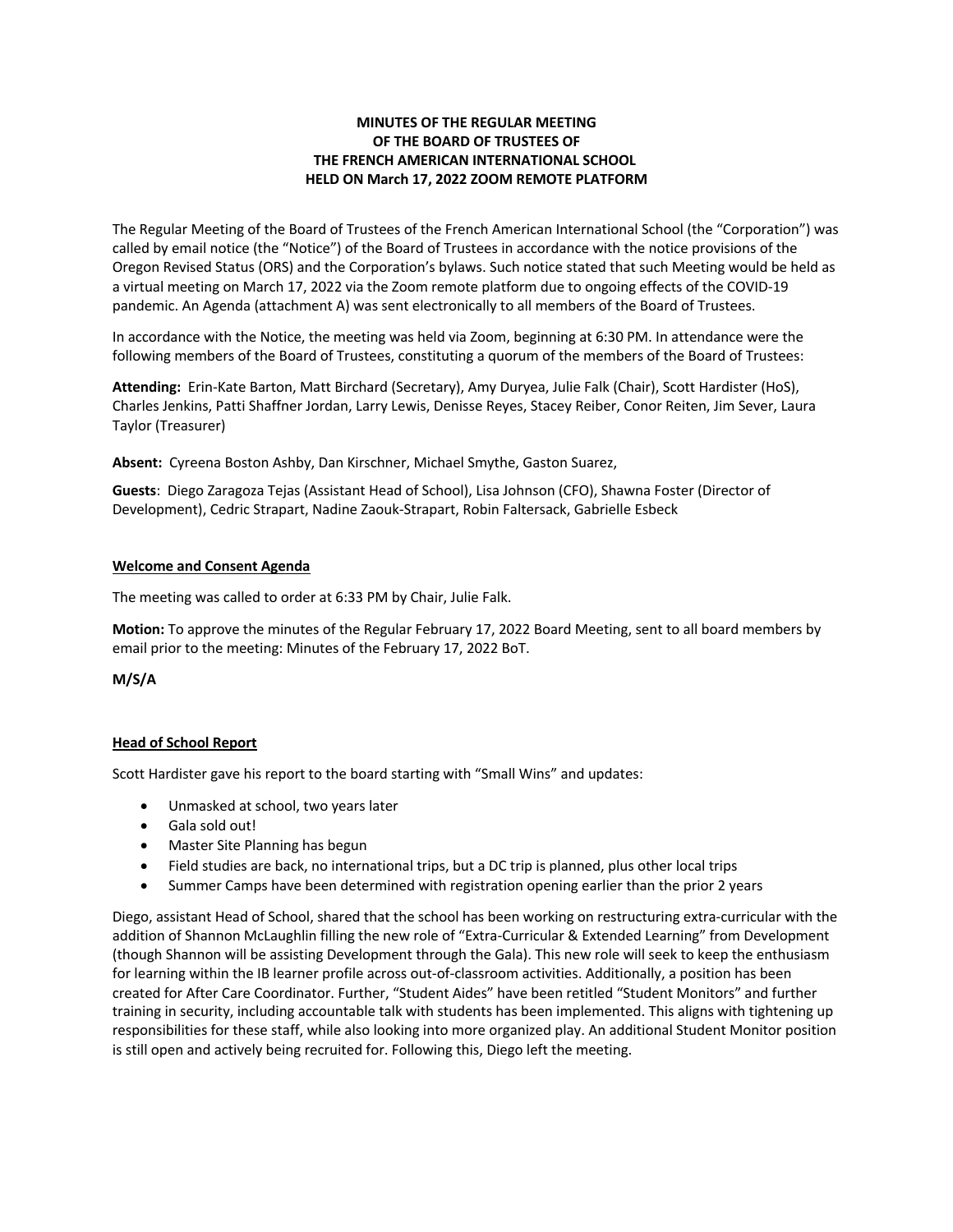### **MINUTES OF THE REGULAR MEETING OF THE BOARD OF TRUSTEES OF THE FRENCH AMERICAN INTERNATIONAL SCHOOL HELD ON March 17, 2022 ZOOM REMOTE PLATFORM**

The Regular Meeting of the Board of Trustees of the French American International School (the "Corporation") was called by email notice (the "Notice") of the Board of Trustees in accordance with the notice provisions of the Oregon Revised Status (ORS) and the Corporation's bylaws. Such notice stated that such Meeting would be held as a virtual meeting on March 17, 2022 via the Zoom remote platform due to ongoing effects of the COVID-19 pandemic. An Agenda (attachment A) was sent electronically to all members of the Board of Trustees.

In accordance with the Notice, the meeting was held via Zoom, beginning at 6:30 PM. In attendance were the following members of the Board of Trustees, constituting a quorum of the members of the Board of Trustees:

**Attending:** Erin-Kate Barton, Matt Birchard (Secretary), Amy Duryea, Julie Falk (Chair), Scott Hardister (HoS), Charles Jenkins, Patti Shaffner Jordan, Larry Lewis, Denisse Reyes, Stacey Reiber, Conor Reiten, Jim Sever, Laura Taylor (Treasurer)

**Absent:** Cyreena Boston Ashby, Dan Kirschner, Michael Smythe, Gaston Suarez,

**Guests**: Diego Zaragoza Tejas (Assistant Head of School), Lisa Johnson (CFO), Shawna Foster (Director of Development), Cedric Strapart, Nadine Zaouk-Strapart, Robin Faltersack, Gabrielle Esbeck

#### **Welcome and Consent Agenda**

The meeting was called to order at 6:33 PM by Chair, Julie Falk.

**Motion:** To approve the minutes of the Regular February 17, 2022 Board Meeting, sent to all board members by email prior to the meeting: Minutes of the February 17, 2022 BoT.

**M/S/A**

#### **Head of School Report**

Scott Hardister gave his report to the board starting with "Small Wins" and updates:

- Unmasked at school, two years later
- Gala sold out!
- Master Site Planning has begun
- Field studies are back, no international trips, but a DC trip is planned, plus other local trips
- Summer Camps have been determined with registration opening earlier than the prior 2 years

Diego, assistant Head of School, shared that the school has been working on restructuring extra-curricular with the addition of Shannon McLaughlin filling the new role of "Extra-Curricular & Extended Learning" from Development (though Shannon will be assisting Development through the Gala). This new role will seek to keep the enthusiasm for learning within the IB learner profile across out-of-classroom activities. Additionally, a position has been created for After Care Coordinator. Further, "Student Aides" have been retitled "Student Monitors" and further training in security, including accountable talk with students has been implemented. This aligns with tightening up responsibilities for these staff, while also looking into more organized play. An additional Student Monitor position is still open and actively being recruited for. Following this, Diego left the meeting.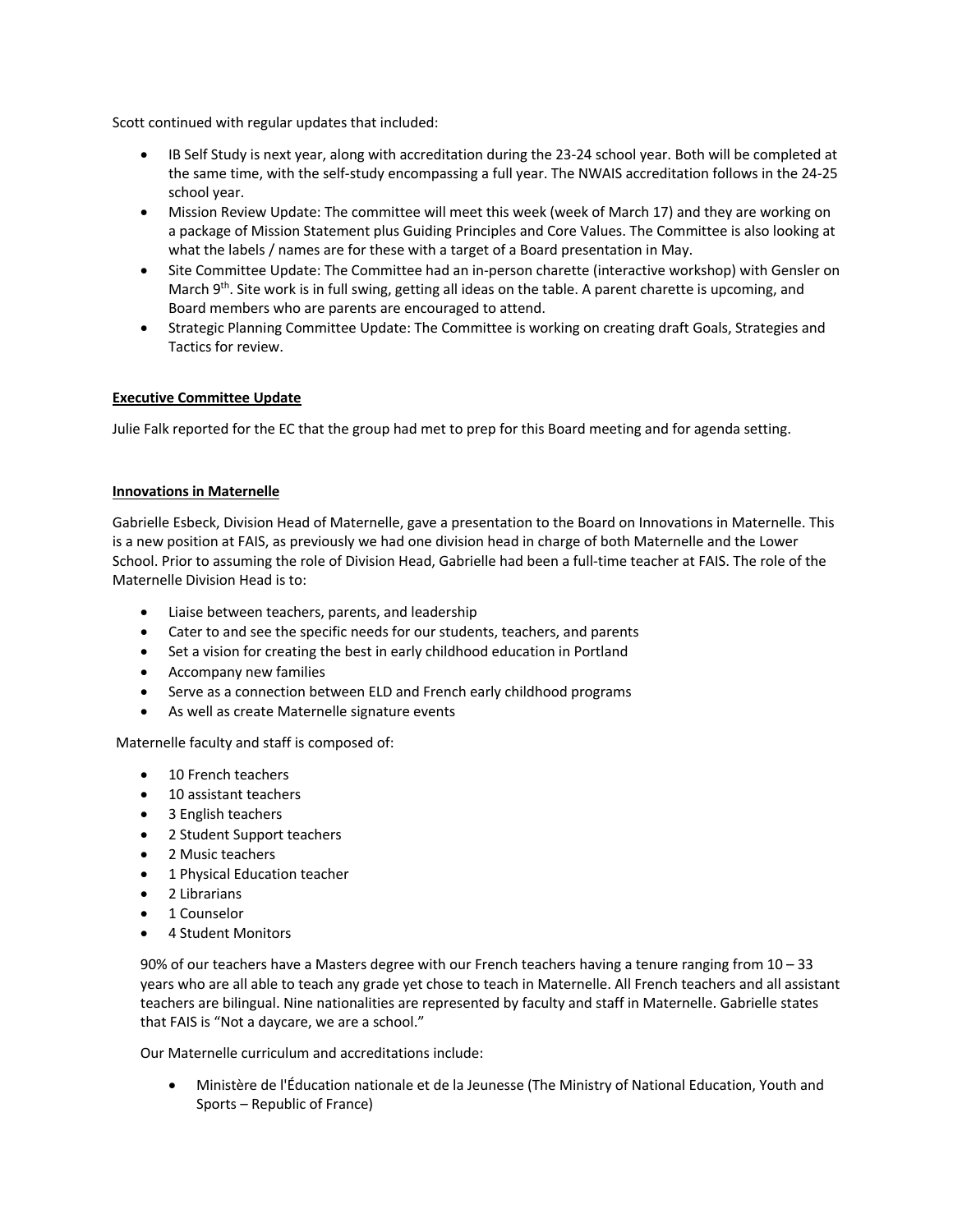Scott continued with regular updates that included:

- IB Self Study is next year, along with accreditation during the 23-24 school year. Both will be completed at the same time, with the self-study encompassing a full year. The NWAIS accreditation follows in the 24-25 school year.
- Mission Review Update: The committee will meet this week (week of March 17) and they are working on a package of Mission Statement plus Guiding Principles and Core Values. The Committee is also looking at what the labels / names are for these with a target of a Board presentation in May.
- Site Committee Update: The Committee had an in-person charette (interactive workshop) with Gensler on March 9<sup>th</sup>. Site work is in full swing, getting all ideas on the table. A parent charette is upcoming, and Board members who are parents are encouraged to attend.
- Strategic Planning Committee Update: The Committee is working on creating draft Goals, Strategies and Tactics for review.

#### **Executive Committee Update**

Julie Falk reported for the EC that the group had met to prep for this Board meeting and for agenda setting.

#### **Innovations in Maternelle**

Gabrielle Esbeck, Division Head of Maternelle, gave a presentation to the Board on Innovations in Maternelle. This is a new position at FAIS, as previously we had one division head in charge of both Maternelle and the Lower School. Prior to assuming the role of Division Head, Gabrielle had been a full-time teacher at FAIS. The role of the Maternelle Division Head is to:

- Liaise between teachers, parents, and leadership
- Cater to and see the specific needs for our students, teachers, and parents
- Set a vision for creating the best in early childhood education in Portland
- Accompany new families
- Serve as a connection between ELD and French early childhood programs
- As well as create Maternelle signature events

Maternelle faculty and staff is composed of:

- 10 French teachers
- 10 assistant teachers
- 3 English teachers
- 2 Student Support teachers
- 2 Music teachers
- 1 Physical Education teacher
- 2 Librarians
- 1 Counselor
- 4 Student Monitors

90% of our teachers have a Masters degree with our French teachers having a tenure ranging from 10 – 33 years who are all able to teach any grade yet chose to teach in Maternelle. All French teachers and all assistant teachers are bilingual. Nine nationalities are represented by faculty and staff in Maternelle. Gabrielle states that FAIS is "Not a daycare, we are a school."

Our Maternelle curriculum and accreditations include:

• Ministère de l'Éducation nationale et de la Jeunesse (The Ministry of National Education, Youth and Sports – Republic of France)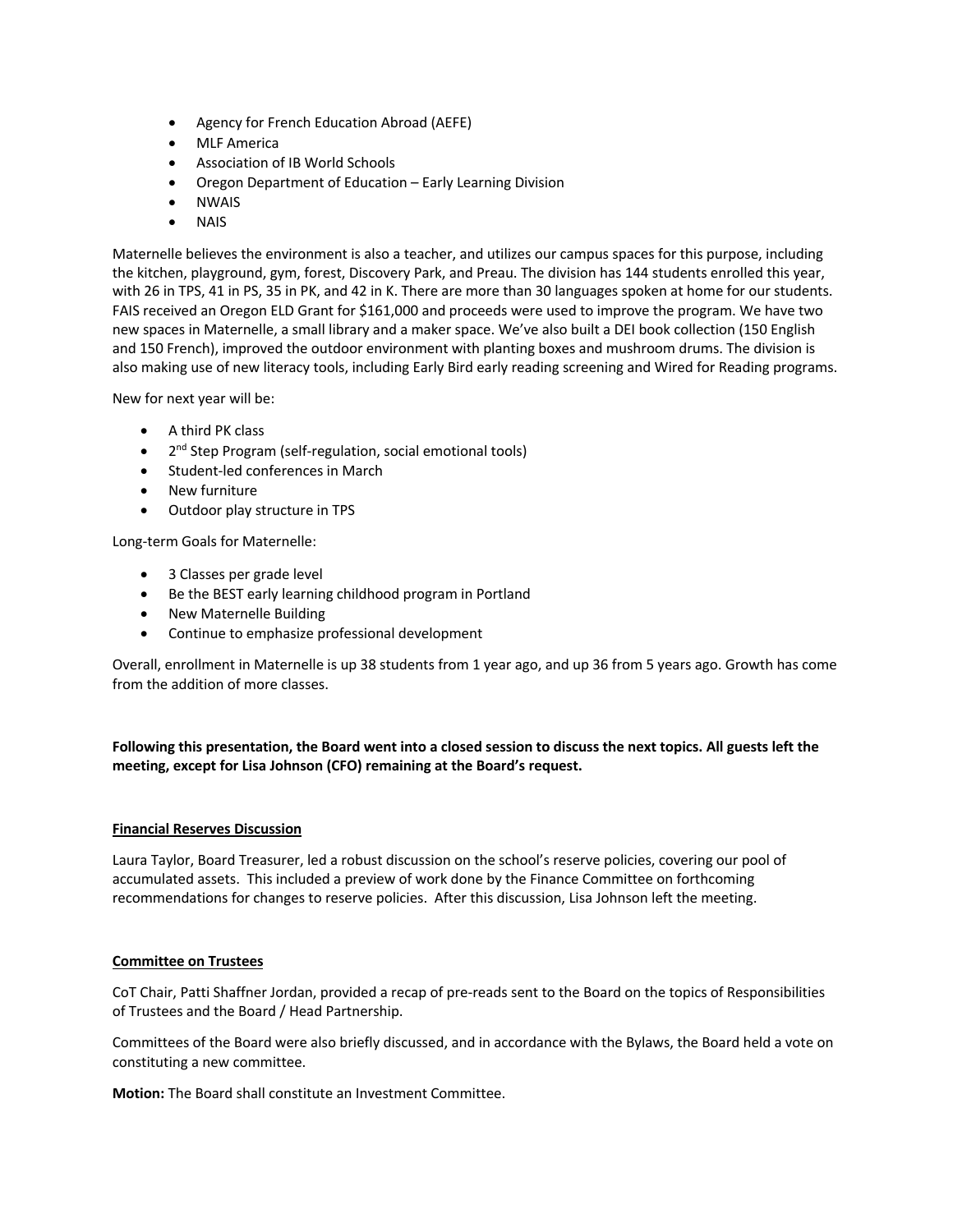- Agency for French Education Abroad (AEFE)
- MLF America
- Association of IB World Schools
- Oregon Department of Education Early Learning Division
- NWAIS
- NAIS

Maternelle believes the environment is also a teacher, and utilizes our campus spaces for this purpose, including the kitchen, playground, gym, forest, Discovery Park, and Preau. The division has 144 students enrolled this year, with 26 in TPS, 41 in PS, 35 in PK, and 42 in K. There are more than 30 languages spoken at home for our students. FAIS received an Oregon ELD Grant for \$161,000 and proceeds were used to improve the program. We have two new spaces in Maternelle, a small library and a maker space. We've also built a DEI book collection (150 English and 150 French), improved the outdoor environment with planting boxes and mushroom drums. The division is also making use of new literacy tools, including Early Bird early reading screening and Wired for Reading programs.

New for next year will be:

- A third PK class
- 2<sup>nd</sup> Step Program (self-regulation, social emotional tools)
- Student-led conferences in March
- New furniture
- Outdoor play structure in TPS

Long-term Goals for Maternelle:

- 3 Classes per grade level
- Be the BEST early learning childhood program in Portland
- New Maternelle Building
- Continue to emphasize professional development

Overall, enrollment in Maternelle is up 38 students from 1 year ago, and up 36 from 5 years ago. Growth has come from the addition of more classes.

**Following this presentation, the Board went into a closed session to discuss the next topics. All guests left the meeting, except for Lisa Johnson (CFO) remaining at the Board's request.**

#### **Financial Reserves Discussion**

Laura Taylor, Board Treasurer, led a robust discussion on the school's reserve policies, covering our pool of accumulated assets. This included a preview of work done by the Finance Committee on forthcoming recommendations for changes to reserve policies. After this discussion, Lisa Johnson left the meeting.

#### **Committee on Trustees**

CoT Chair, Patti Shaffner Jordan, provided a recap of pre-reads sent to the Board on the topics of Responsibilities of Trustees and the Board / Head Partnership.

Committees of the Board were also briefly discussed, and in accordance with the Bylaws, the Board held a vote on constituting a new committee.

**Motion:** The Board shall constitute an Investment Committee.